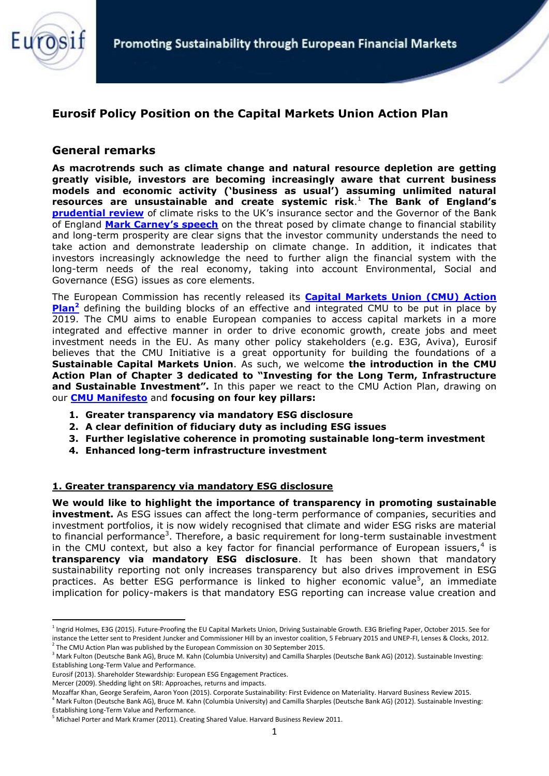

# **Eurosif Policy Position on the Capital Markets Union Action Plan**

## **General remarks**

**As macrotrends such as climate change and natural resource depletion are getting greatly visible, investors are becoming increasingly aware that current business models and economic activity ('business as usual') assuming unlimited natural resources are unsustainable and create systemic risk**. <sup>1</sup> **The Bank of England'[s](http://www.bankofengland.co.uk/pra/Documents/supervision/activities/pradefra0915.pdf) [prudential review](http://www.bankofengland.co.uk/pra/Documents/supervision/activities/pradefra0915.pdf)** of climate risks to the UK's insurance sector and the Governor of the Bank of England **[Mark Carney's speech](http://www.bankofengland.co.uk/publications/Pages/speeches/2015/844.aspx)** on the threat posed by climate change to financial stability and long-term prosperity are clear signs that the investor community understands the need to take action and demonstrate leadership on climate change. In addition, it indicates that investors increasingly acknowledge the need to further align the financial system with the long-term needs of the real economy, taking into account Environmental, Social and Governance (ESG) issues as core elements.

The European Commission has recently released its **[Capital Markets Union \(CMU\) Action](http://ec.europa.eu/finance/capital-markets-union/docs/building-cmu-action-plan_en.pdf)  [Plan](http://ec.europa.eu/finance/capital-markets-union/docs/building-cmu-action-plan_en.pdf)<sup>2</sup>** defining the building blocks of an effective and integrated CMU to be put in place by 2019. The CMU aims to enable European companies to access capital markets in a more integrated and effective manner in order to drive economic growth, create jobs and meet investment needs in the EU. As many other policy stakeholders (e.g. E3G, Aviva), Eurosif believes that the CMU Initiative is a great opportunity for building the foundations of a **Sustainable Capital Markets Union**. As such, we welcome **the introduction in the CMU Action Plan of Chapter 3 dedicated to "Investing for the Long Term, Infrastructure and Sustainable Investment".** In this paper we react to the CMU Action Plan, drawing on our **[CMU Manifesto](http://www.eurosif.org/wp-content/uploads/2015/05/A-Sustainable-Capital-Markets-Union-Manifesto1.pdf)** and **focusing on four key pillars:** 

- **1. Greater transparency via mandatory ESG disclosure**
- **2. A clear definition of fiduciary duty as including ESG issues**
- **3. Further legislative coherence in promoting sustainable long-term investment**
- **4. Enhanced long-term infrastructure investment**

#### **1. Greater transparency via mandatory ESG disclosure**

**We would like to highlight the importance of transparency in promoting sustainable investment.** As ESG issues can affect the long-term performance of companies, securities and investment portfolios, it is now widely recognised that climate and wider ESG risks are material to financial performance<sup>3</sup>. Therefore, a basic requirement for long-term sustainable investment in the CMU context, but also a key factor for financial performance of European issuers, $4$  is **transparency via mandatory ESG disclosure**. It has been shown that mandatory sustainability reporting not only increases transparency but also drives improvement in ESG practices. As better ESG performance is linked to higher economic value<sup>5</sup>, an immediate implication for policy-makers is that mandatory ESG reporting can increase value creation and

Mercer (2009). Shedding light on SRI: Approaches, returns and impacts.

 $\overline{a}$ 

<sup>&</sup>lt;sup>1</sup> Ingrid Holmes, E3G (2015). Future-Proofing the EU Capital Markets Union, Driving Sustainable Growth. E3G Briefing Paper, October 2015. See for instance the Letter sent to President Juncker and Commissioner Hill by an investor coalition, 5 February 2015 and UNEP-FI, Lenses & Clocks, 2012.  $2$  The CMU Action Plan was published by the European Commission on 30 September 2015.

<sup>&</sup>lt;sup>3</sup> Mark Fulton (Deutsche Bank AG), Bruce M. Kahn (Columbia University) and Camilla Sharples (Deutsche Bank AG) (2012). Sustainable Investing: Establishing Long-Term Value and Performance.

Eurosif (2013). Shareholder Stewardship: European ESG Engagement Practices.

Mozaffar Khan, George Serafeim, Aaron Yoon (2015). Corporate Sustainability: First Evidence on Materiality. Harvard Business Review 2015.

<sup>&</sup>lt;sup>4</sup> Mark Fulton (Deutsche Bank AG), Bruce M. Kahn (Columbia University) and Camilla Sharples (Deutsche Bank AG) (2012). Sustainable Investing: Establishing Long-Term Value and Performance.

 $\frac{1}{2}$  Michael Porter and Mark Kramer (2011). Creating Shared Value. Harvard Business Review 2011.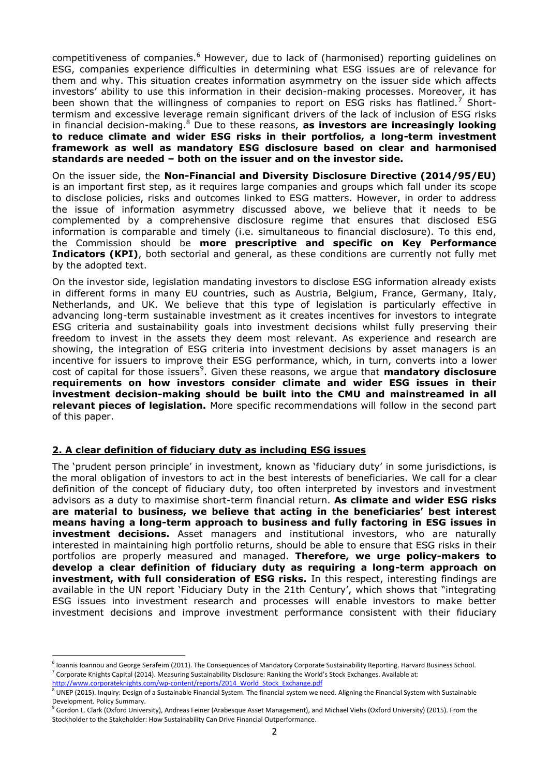competitiveness of companies.<sup>6</sup> However, due to lack of (harmonised) reporting quidelines on ESG, companies experience difficulties in determining what ESG issues are of relevance for them and why. This situation creates information asymmetry on the issuer side which affects investors' ability to use this information in their decision-making processes. Moreover, it has been shown that the willingness of companies to report on ESG risks has flatlined.<sup>7</sup> Shorttermism and excessive leverage remain significant drivers of the lack of inclusion of ESG risks in financial decision-making.<sup>8</sup> Due to these reasons, **as investors are increasingly looking to reduce climate and wider ESG risks in their portfolios, a long-term investment framework as well as mandatory ESG disclosure based on clear and harmonised standards are needed – both on the issuer and on the investor side.**

On the issuer side, the **Non-Financial and Diversity Disclosure Directive (2014/95/EU)** is an important first step, as it requires large companies and groups which fall under its scope to disclose policies, risks and outcomes linked to ESG matters. However, in order to address the issue of information asymmetry discussed above, we believe that it needs to be complemented by a comprehensive disclosure regime that ensures that disclosed ESG information is comparable and timely (i.e. simultaneous to financial disclosure). To this end, the Commission should be **more prescriptive and specific on Key Performance Indicators (KPI)**, both sectorial and general, as these conditions are currently not fully met by the adopted text.

On the investor side, legislation mandating investors to disclose ESG information already exists in different forms in many EU countries, such as Austria, Belgium, France, Germany, Italy, Netherlands, and UK. We believe that this type of legislation is particularly effective in advancing long-term sustainable investment as it creates incentives for investors to integrate ESG criteria and sustainability goals into investment decisions whilst fully preserving their freedom to invest in the assets they deem most relevant. As experience and research are showing, the integration of ESG criteria into investment decisions by asset managers is an incentive for issuers to improve their ESG performance, which, in turn, converts into a lower cost of capital for those issuers<sup>9</sup>. Given these reasons, we argue that **mandatory disclosure requirements on how investors consider climate and wider ESG issues in their investment decision-making should be built into the CMU and mainstreamed in all relevant pieces of legislation.** More specific recommendations will follow in the second part of this paper.

### **2. A clear definition of fiduciary duty as including ESG issues**

The 'prudent person principle' in investment, known as 'fiduciary duty' in some jurisdictions, is the moral obligation of investors to act in the best interests of beneficiaries. We call for a clear definition of the concept of fiduciary duty, too often interpreted by investors and investment advisors as a duty to maximise short-term financial return. **As climate and wider ESG risks are material to business, we believe that acting in the beneficiaries' best interest means having a long-term approach to business and fully factoring in ESG issues in investment decisions.** Asset managers and institutional investors, who are naturally interested in maintaining high portfolio returns, should be able to ensure that ESG risks in their portfolios are properly measured and managed. **Therefore, we urge policy-makers to develop a clear definition of fiduciary duty as requiring a long-term approach on investment, with full consideration of ESG risks.** In this respect, interesting findings are available in the UN report 'Fiduciary Duty in the 21th Century', which shows that "integrating ESG issues into investment research and processes will enable investors to make better investment decisions and improve investment performance consistent with their fiduciary

**.** 

<sup>&</sup>lt;sup>6</sup> Ioannis Ioannou and George Serafeim (2011). The Consequences of Mandatory Corporate Sustainability Reporting. Harvard Business School. <sup>7</sup> Corporate Knights Capital (2014). Measuring Sustainability Disclosure: Ranking the World's Stock Exchanges. Available at:

[http://www.corporateknights.com/wp-content/reports/2014\\_World\\_Stock\\_Exchange.pdf](http://www.corporateknights.com/wp-content/reports/2014_World_Stock_Exchange.pdf)

 $^8$  UNEP (2015). Inquiry: Design of a Sustainable Financial System. The financial system we need. Aligning the Financial System with Sustainable Development. Policy Summary.

<sup>&</sup>lt;sup>9</sup> Gordon L. Clark (Oxford University), Andreas Feiner (Arabesque Asset Management), and Michael Viehs (Oxford University) (2015). From the Stockholder to the Stakeholder: How Sustainability Can Drive Financial Outperformance.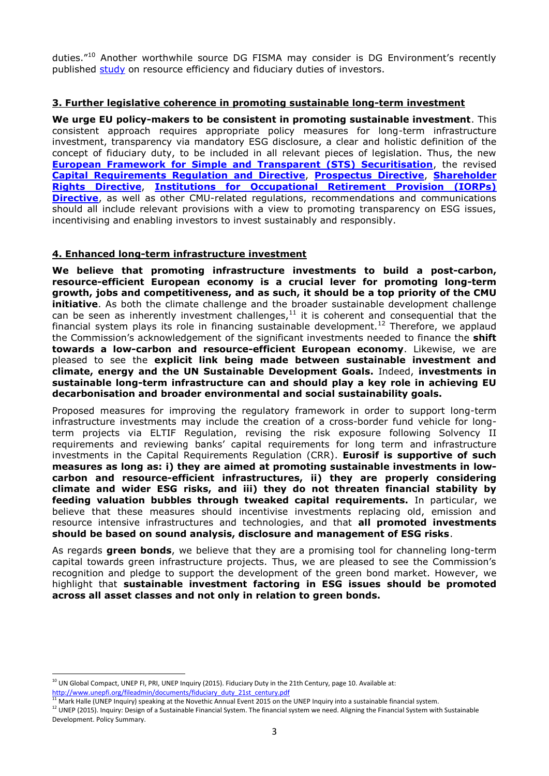duties."<sup>10</sup> Another worthwhile source DG FISMA may consider is DG Environment's recently published [study](http://ec.europa.eu/environment/enveco/resource_efficiency/pdf/FiduciaryDuties.pdf) on resource efficiency and fiduciary duties of investors.

### **3. Further legislative coherence in promoting sustainable long-term investment**

**We urge EU policy-makers to be consistent in promoting sustainable investment**. This consistent approach requires appropriate policy measures for long-term infrastructure investment, transparency via mandatory ESG disclosure, a clear and holistic definition of the concept of fiduciary duty, to be included in all relevant pieces of legislation. Thus, the new **[European Framework for Simple and Transparent \(STS\) Securitisation](http://ec.europa.eu/finance/securities/securitisation/index_en.htm)**, the revised **[Capital Requirements Regulation and Directive](http://ec.europa.eu/finance/bank/regcapital/legislation-in-force/index_en.htm)**, **[Prospectus Directive](http://ec.europa.eu/finance/consultations/2015/prospectus-directive/index_en.htm)**, **[Shareholder](http://ec.europa.eu/internal_market/company/modern/index_en.htm)  [Rights Directive](http://ec.europa.eu/internal_market/company/modern/index_en.htm)**, **[Institutions for Occupational Retirement Provision \(IORPs\)](http://ec.europa.eu/finance/pensions/iorp/index_en.htm#maincontentSec1)  [Directive](http://ec.europa.eu/finance/pensions/iorp/index_en.htm#maincontentSec1)**, as well as other CMU-related regulations, recommendations and communications should all include relevant provisions with a view to promoting transparency on ESG issues, incentivising and enabling investors to invest sustainably and responsibly.

### **4. Enhanced long-term infrastructure investment**

**We believe that promoting infrastructure investments to build a post-carbon, resource-efficient European economy is a crucial lever for promoting long-term growth, jobs and competitiveness, and as such, it should be a top priority of the CMU initiative**. As both the climate challenge and the broader sustainable development challenge can be seen as inherently investment challenges, $<sup>11</sup>$  it is coherent and consequential that the</sup> financial system plays its role in financing sustainable development.<sup>12</sup> Therefore, we applaud the Commission's acknowledgement of the significant investments needed to finance the **shift towards a low-carbon and resource-efficient European economy**. Likewise, we are pleased to see the **explicit link being made between sustainable investment and climate, energy and the UN Sustainable Development Goals.** Indeed, **investments in sustainable long-term infrastructure can and should play a key role in achieving EU decarbonisation and broader environmental and social sustainability goals.** 

Proposed measures for improving the regulatory framework in order to support long-term infrastructure investments may include the creation of a cross-border fund vehicle for longterm projects via ELTIF Regulation, revising the risk exposure following Solvency II requirements and reviewing banks' capital requirements for long term and infrastructure investments in the Capital Requirements Regulation (CRR). **Eurosif is supportive of such measures as long as: i) they are aimed at promoting sustainable investments in lowcarbon and resource-efficient infrastructures, ii) they are properly considering climate and wider ESG risks, and iii) they do not threaten financial stability by feeding valuation bubbles through tweaked capital requirements.** In particular, we believe that these measures should incentivise investments replacing old, emission and resource intensive infrastructures and technologies, and that **all promoted investments should be based on sound analysis, disclosure and management of ESG risks**.

As regards **green bonds**, we believe that they are a promising tool for channeling long-term capital towards green infrastructure projects. Thus, we are pleased to see the Commission's recognition and pledge to support the development of the green bond market. However, we highlight that **sustainable investment factoring in ESG issues should be promoted across all asset classes and not only in relation to green bonds.** 

**.** 

 $^{10}$  UN Global Compact, UNEP FI, PRI, UNEP Inquiry (2015). Fiduciary Duty in the 21th Century, page 10. Available at:

[http://www.unepfi.org/fileadmin/documents/fiduciary\\_duty\\_21st\\_century.pdf](http://www.unepfi.org/fileadmin/documents/fiduciary_duty_21st_century.pdf)

 $11$  Mark Halle (UNEP Inquiry) speaking at the Novethic Annual Event 2015 on the UNEP Inquiry into a sustainable financial system.

<sup>&</sup>lt;sup>12</sup> UNEP (2015). Inquiry: Design of a Sustainable Financial System. The financial system we need. Aligning the Financial System with Sustainable Development. Policy Summary.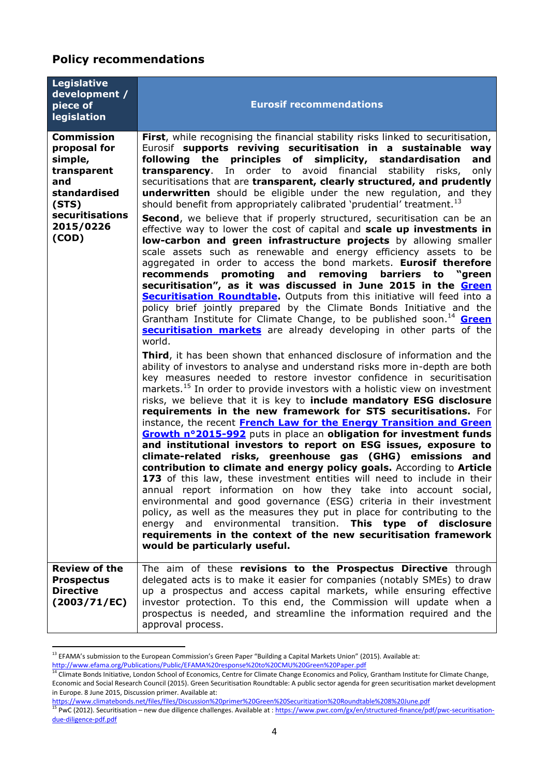# **Policy recommendations**

| <b>Legislative</b><br>development /<br>piece of<br>legislation                                                                       | <b>Eurosif recommendations</b>                                                                                                                                                                                                                                                                                                                                                                                                                                                                                                                                                                                                                                                                                                                                                                                                                                                                                                                                                                                                                                                                                                                                                                                                                                                                                                                                                                                                                                                                                                                                                                                                                                                                                                                                                                                                                                                                                                                                                                                                                                                                                                                                                                                                                                                                                                                                                                                                                                                                                                                                                                                                                                                                  |
|--------------------------------------------------------------------------------------------------------------------------------------|-------------------------------------------------------------------------------------------------------------------------------------------------------------------------------------------------------------------------------------------------------------------------------------------------------------------------------------------------------------------------------------------------------------------------------------------------------------------------------------------------------------------------------------------------------------------------------------------------------------------------------------------------------------------------------------------------------------------------------------------------------------------------------------------------------------------------------------------------------------------------------------------------------------------------------------------------------------------------------------------------------------------------------------------------------------------------------------------------------------------------------------------------------------------------------------------------------------------------------------------------------------------------------------------------------------------------------------------------------------------------------------------------------------------------------------------------------------------------------------------------------------------------------------------------------------------------------------------------------------------------------------------------------------------------------------------------------------------------------------------------------------------------------------------------------------------------------------------------------------------------------------------------------------------------------------------------------------------------------------------------------------------------------------------------------------------------------------------------------------------------------------------------------------------------------------------------------------------------------------------------------------------------------------------------------------------------------------------------------------------------------------------------------------------------------------------------------------------------------------------------------------------------------------------------------------------------------------------------------------------------------------------------------------------------------------------------|
| <b>Commission</b><br>proposal for<br>simple,<br>transparent<br>and<br>standardised<br>(STS)<br>securitisations<br>2015/0226<br>(COD) | First, while recognising the financial stability risks linked to securitisation,<br>Eurosif supports reviving securitisation in a sustainable<br>way<br>following the principles of simplicity, standardisation<br>and<br>transparency. In order to avoid financial stability risks,<br>only<br>securitisations that are transparent, clearly structured, and prudently<br><b>underwritten</b> should be eligible under the new regulation, and they<br>should benefit from appropriately calibrated 'prudential' treatment. <sup>13</sup><br>Second, we believe that if properly structured, securitisation can be an<br>effective way to lower the cost of capital and scale up investments in<br>low-carbon and green infrastructure projects by allowing smaller<br>scale assets such as renewable and energy efficiency assets to be<br>aggregated in order to access the bond markets. Eurosif therefore<br>promoting and removing barriers to "green<br>recommends<br>securitisation", as it was discussed in June 2015 in the Green<br><b>Securitisation Roundtable.</b> Outputs from this initiative will feed into a<br>policy brief jointly prepared by the Climate Bonds Initiative and the<br>Grantham Institute for Climate Change, to be published soon. <sup>14</sup> Green<br>securitisation markets are already developing in other parts of the<br>world.<br>Third, it has been shown that enhanced disclosure of information and the<br>ability of investors to analyse and understand risks more in-depth are both<br>key measures needed to restore investor confidence in securitisation<br>markets. <sup>15</sup> In order to provide investors with a holistic view on investment<br>risks, we believe that it is key to include mandatory ESG disclosure<br>requirements in the new framework for STS securitisations. For<br>instance, the recent French Law for the Energy Transition and Green<br>Growth nº2015-992 puts in place an obligation for investment funds<br>and institutional investors to report on ESG issues, exposure to<br>climate-related risks, greenhouse gas (GHG) emissions and<br>contribution to climate and energy policy goals. According to Article<br>173 of this law, these investment entities will need to include in their<br>annual report information on how they take into account social,<br>environmental and good governance (ESG) criteria in their investment<br>policy, as well as the measures they put in place for contributing to the<br>and environmental transition.<br>This type<br>of<br>energy<br>disclosure<br>requirements in the context of the new securitisation framework<br>would be particularly useful. |
| <b>Review of the</b><br><b>Prospectus</b><br><b>Directive</b><br>(2003/71/EC)                                                        | The aim of these revisions to the Prospectus Directive through<br>delegated acts is to make it easier for companies (notably SMEs) to draw<br>up a prospectus and access capital markets, while ensuring effective<br>investor protection. To this end, the Commission will update when a<br>prospectus is needed, and streamline the information required and the<br>approval process.                                                                                                                                                                                                                                                                                                                                                                                                                                                                                                                                                                                                                                                                                                                                                                                                                                                                                                                                                                                                                                                                                                                                                                                                                                                                                                                                                                                                                                                                                                                                                                                                                                                                                                                                                                                                                                                                                                                                                                                                                                                                                                                                                                                                                                                                                                         |

<sup>&</sup>lt;sup>13</sup> EFAMA's submission to the European Commission's Green Paper "Building a Capital Markets Union" (2015). Available at: <http://www.efama.org/Publications/Public/EFAMA%20response%20to%20CMU%20Green%20Paper.pdf>

**.** 

<sup>&</sup>lt;sup>14</sup> Climate Bonds Initiative, London School of Economics, Centre for Climate Change Economics and Policy, Grantham Institute for Climate Change,

Economic and Social Research Council (2015). Green Securitisation Roundtable: A public sector agenda for green securitisation market development in Europe. 8 June 2015, Discussion primer. Available at:

<https://www.climatebonds.net/files/files/Discussion%20primer%20Green%20Securitization%20Roundtable%208%20June.pdf>

<sup>&</sup>lt;sup>15</sup> PwC (2012). Securitisation – new due diligence challenges. Available at [: https://www.pwc.com/gx/en/structured-finance/pdf/pwc-securitisation](https://www.pwc.com/gx/en/structured-finance/pdf/pwc-securitisation-due-diligence-pdf.pdf)[due-diligence-pdf.pdf](https://www.pwc.com/gx/en/structured-finance/pdf/pwc-securitisation-due-diligence-pdf.pdf)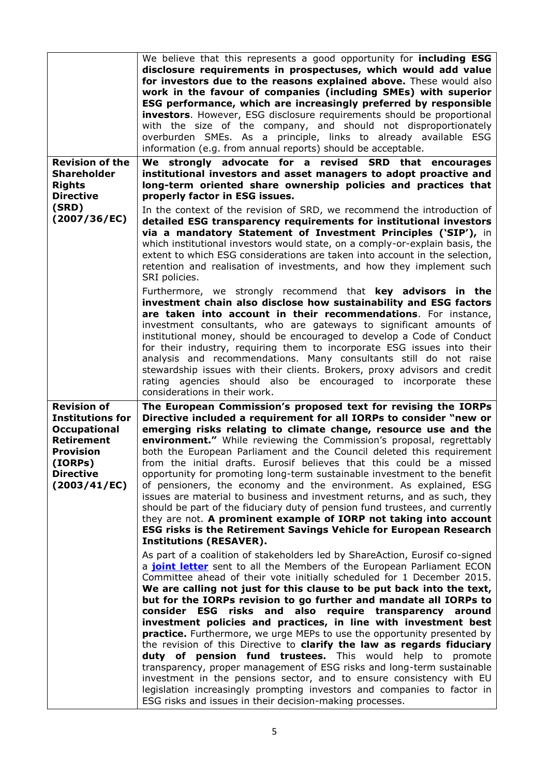| <b>Revision of the</b>                                                                                      | We believe that this represents a good opportunity for <b>including ESG</b><br>disclosure requirements in prospectuses, which would add value<br>for investors due to the reasons explained above. These would also<br>work in the favour of companies (including SMEs) with superior<br>ESG performance, which are increasingly preferred by responsible<br>investors. However, ESG disclosure requirements should be proportional<br>with the size of the company, and should not disproportionately<br>overburden SMEs. As a principle, links to already available ESG<br>information (e.g. from annual reports) should be acceptable.<br>We strongly advocate for a revised SRD that encourages |
|-------------------------------------------------------------------------------------------------------------|-----------------------------------------------------------------------------------------------------------------------------------------------------------------------------------------------------------------------------------------------------------------------------------------------------------------------------------------------------------------------------------------------------------------------------------------------------------------------------------------------------------------------------------------------------------------------------------------------------------------------------------------------------------------------------------------------------|
| <b>Shareholder</b><br><b>Rights</b>                                                                         | institutional investors and asset managers to adopt proactive and<br>long-term oriented share ownership policies and practices that                                                                                                                                                                                                                                                                                                                                                                                                                                                                                                                                                                 |
| <b>Directive</b>                                                                                            | properly factor in ESG issues.                                                                                                                                                                                                                                                                                                                                                                                                                                                                                                                                                                                                                                                                      |
| (SRD)<br>(2007/36/EC)                                                                                       | In the context of the revision of SRD, we recommend the introduction of<br>detailed ESG transparency requirements for institutional investors<br>via a mandatory Statement of Investment Principles ('SIP'), in<br>which institutional investors would state, on a comply-or-explain basis, the<br>extent to which ESG considerations are taken into account in the selection,<br>retention and realisation of investments, and how they implement such<br>SRI policies.                                                                                                                                                                                                                            |
|                                                                                                             | Furthermore, we strongly recommend that <b>key advisors in the</b><br>investment chain also disclose how sustainability and ESG factors<br>are taken into account in their recommendations. For instance,                                                                                                                                                                                                                                                                                                                                                                                                                                                                                           |
|                                                                                                             | investment consultants, who are gateways to significant amounts of<br>institutional money, should be encouraged to develop a Code of Conduct<br>for their industry, requiring them to incorporate ESG issues into their<br>analysis and recommendations. Many consultants still do not raise<br>stewardship issues with their clients. Brokers, proxy advisors and credit<br>rating agencies should also be encouraged to incorporate these<br>considerations in their work.                                                                                                                                                                                                                        |
| <b>Revision of</b><br><b>Institutions for</b>                                                               | The European Commission's proposed text for revising the IORPs<br>Directive included a requirement for all IORPs to consider "new or                                                                                                                                                                                                                                                                                                                                                                                                                                                                                                                                                                |
| <b>Occupational</b><br><b>Retirement</b><br><b>Provision</b><br>(IORPs)<br><b>Directive</b><br>(2003/41/EC) | emerging risks relating to climate change, resource use and the<br>environment." While reviewing the Commission's proposal, regrettably<br>both the European Parliament and the Council deleted this requirement<br>from the initial drafts. Eurosif believes that this could be a missed<br>opportunity for promoting long-term sustainable investment to the benefit<br>of pensioners, the economy and the environment. As explained, ESG<br>issues are material to business and investment returns, and as such, they<br>should be part of the fiduciary duty of pension fund trustees, and currently<br>they are not. A prominent example of IORP not taking into account                       |
|                                                                                                             | ESG risks is the Retirement Savings Vehicle for European Research<br><b>Institutions (RESAVER).</b>                                                                                                                                                                                                                                                                                                                                                                                                                                                                                                                                                                                                 |
|                                                                                                             | As part of a coalition of stakeholders led by ShareAction, Eurosif co-signed<br>a joint letter sent to all the Members of the European Parliament ECON<br>Committee ahead of their vote initially scheduled for 1 December 2015.<br>We are calling not just for this clause to be put back into the text,<br>but for the IORPs revision to go further and mandate all IORPs to<br>consider ESG<br>and<br>risks<br>also<br>require transparency around                                                                                                                                                                                                                                               |
|                                                                                                             | investment policies and practices, in line with investment best<br>practice. Furthermore, we urge MEPs to use the opportunity presented by<br>the revision of this Directive to clarify the law as regards fiduciary<br>duty of pension fund trustees. This would<br>help to promote                                                                                                                                                                                                                                                                                                                                                                                                                |
|                                                                                                             | transparency, proper management of ESG risks and long-term sustainable<br>investment in the pensions sector, and to ensure consistency with EU<br>legislation increasingly prompting investors and companies to factor in<br>ESG risks and issues in their decision-making processes.                                                                                                                                                                                                                                                                                                                                                                                                               |